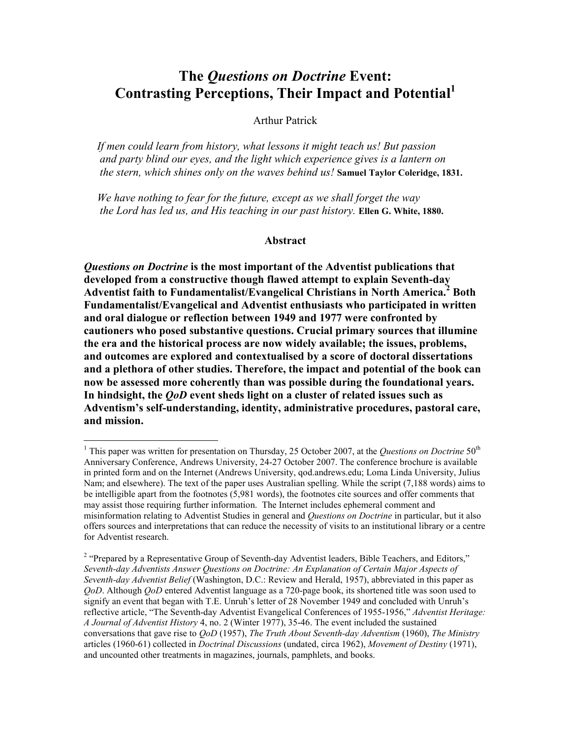# The Questions on Doctrine Event: Contrasting Perceptions, Their Impact and Potential<sup>1</sup>

### Arthur Patrick

If men could learn from history, what lessons it might teach us! But passion and party blind our eyes, and the light which experience gives is a lantern on the stern, which shines only on the waves behind us! Samuel Taylor Coleridge, 1831.

We have nothing to fear for the future, except as we shall forget the way the Lord has led us, and His teaching in our past history. Ellen G. White, 1880.

### Abstract

Questions on Doctrine is the most important of the Adventist publications that developed from a constructive though flawed attempt to explain Seventh-day Adventist faith to Fundamentalist/Evangelical Christians in North America.<sup>2</sup> Both Fundamentalist/Evangelical and Adventist enthusiasts who participated in written and oral dialogue or reflection between 1949 and 1977 were confronted by cautioners who posed substantive questions. Crucial primary sources that illumine the era and the historical process are now widely available; the issues, problems, and outcomes are explored and contextualised by a score of doctoral dissertations and a plethora of other studies. Therefore, the impact and potential of the book can now be assessed more coherently than was possible during the foundational years. In hindsight, the *QoD* event sheds light on a cluster of related issues such as Adventism's self-understanding, identity, administrative procedures, pastoral care, and mission.

<u>.</u>

<sup>&</sup>lt;sup>1</sup> This paper was written for presentation on Thursday, 25 October 2007, at the *Questions on Doctrine* 50<sup>th</sup> Anniversary Conference, Andrews University, 24-27 October 2007. The conference brochure is available in printed form and on the Internet (Andrews University, qod.andrews.edu; Loma Linda University, Julius Nam; and elsewhere). The text of the paper uses Australian spelling. While the script (7,188 words) aims to be intelligible apart from the footnotes (5,981 words), the footnotes cite sources and offer comments that may assist those requiring further information. The Internet includes ephemeral comment and misinformation relating to Adventist Studies in general and *Questions on Doctrine* in particular, but it also offers sources and interpretations that can reduce the necessity of visits to an institutional library or a centre for Adventist research.

<sup>&</sup>lt;sup>2</sup> "Prepared by a Representative Group of Seventh-day Adventist leaders, Bible Teachers, and Editors," Seventh-day Adventists Answer Questions on Doctrine: An Explanation of Certain Major Aspects of Seventh-day Adventist Belief (Washington, D.C.: Review and Herald, 1957), abbreviated in this paper as QoD. Although QoD entered Adventist language as a 720-page book, its shortened title was soon used to signify an event that began with T.E. Unruh's letter of 28 November 1949 and concluded with Unruh's reflective article, "The Seventh-day Adventist Evangelical Conferences of 1955-1956," Adventist Heritage: A Journal of Adventist History 4, no. 2 (Winter 1977), 35-46. The event included the sustained conversations that gave rise to  $QoD$  (1957), The Truth About Seventh-day Adventism (1960), The Ministry articles (1960-61) collected in *Doctrinal Discussions* (undated, circa 1962), *Movement of Destiny* (1971), and uncounted other treatments in magazines, journals, pamphlets, and books.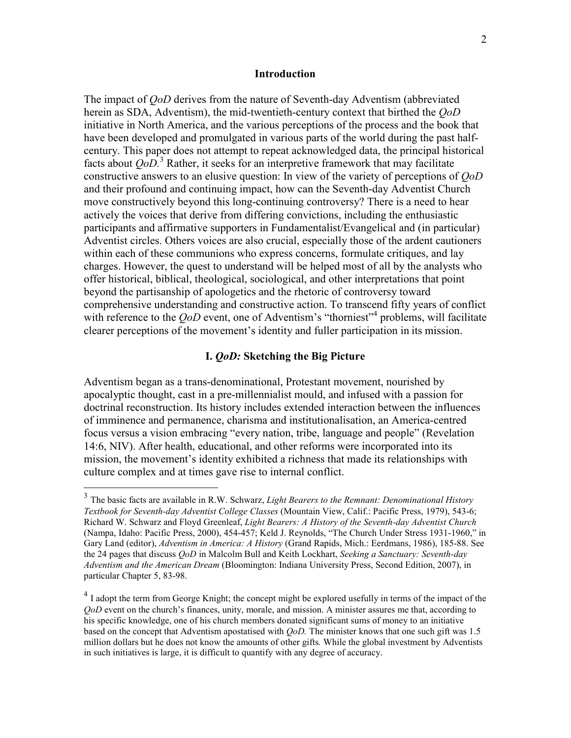#### Introduction

The impact of QoD derives from the nature of Seventh-day Adventism (abbreviated herein as SDA, Adventism), the mid-twentieth-century context that birthed the *OoD* initiative in North America, and the various perceptions of the process and the book that have been developed and promulgated in various parts of the world during the past halfcentury. This paper does not attempt to repeat acknowledged data, the principal historical facts about  $QoD$ <sup>3</sup> Rather, it seeks for an interpretive framework that may facilitate constructive answers to an elusive question: In view of the variety of perceptions of QoD and their profound and continuing impact, how can the Seventh-day Adventist Church move constructively beyond this long-continuing controversy? There is a need to hear actively the voices that derive from differing convictions, including the enthusiastic participants and affirmative supporters in Fundamentalist/Evangelical and (in particular) Adventist circles. Others voices are also crucial, especially those of the ardent cautioners within each of these communions who express concerns, formulate critiques, and lay charges. However, the quest to understand will be helped most of all by the analysts who offer historical, biblical, theological, sociological, and other interpretations that point beyond the partisanship of apologetics and the rhetoric of controversy toward comprehensive understanding and constructive action. To transcend fifty years of conflict with reference to the  $QoD$  event, one of Adventism's "thorniest"<sup>4</sup> problems, will facilitate clearer perceptions of the movement's identity and fuller participation in its mission.

## I. QoD: Sketching the Big Picture

Adventism began as a trans-denominational, Protestant movement, nourished by apocalyptic thought, cast in a pre-millennialist mould, and infused with a passion for doctrinal reconstruction. Its history includes extended interaction between the influences of imminence and permanence, charisma and institutionalisation, an America-centred focus versus a vision embracing "every nation, tribe, language and people" (Revelation 14:6, NIV). After health, educational, and other reforms were incorporated into its mission, the movement's identity exhibited a richness that made its relationships with culture complex and at times gave rise to internal conflict.

 $\frac{3}{3}$  The basic facts are available in R.W. Schwarz, *Light Bearers to the Remnant: Denominational History* Textbook for Seventh-day Adventist College Classes (Mountain View, Calif.: Pacific Press, 1979), 543-6; Richard W. Schwarz and Floyd Greenleaf, Light Bearers: A History of the Seventh-day Adventist Church (Nampa, Idaho: Pacific Press, 2000), 454-457; Keld J. Reynolds, "The Church Under Stress 1931-1960," in Gary Land (editor), Adventism in America: A History (Grand Rapids, Mich.: Eerdmans, 1986), 185-88. See the 24 pages that discuss *QoD* in Malcolm Bull and Keith Lockhart, Seeking a Sanctuary: Seventh-day Adventism and the American Dream (Bloomington: Indiana University Press, Second Edition, 2007), in particular Chapter 5, 83-98.

<sup>&</sup>lt;sup>4</sup> I adopt the term from George Knight; the concept might be explored usefully in terms of the impact of the QoD event on the church's finances, unity, morale, and mission. A minister assures me that, according to his specific knowledge, one of his church members donated significant sums of money to an initiative based on the concept that Adventism apostatised with QoD. The minister knows that one such gift was 1.5 million dollars but he does not know the amounts of other gifts. While the global investment by Adventists in such initiatives is large, it is difficult to quantify with any degree of accuracy.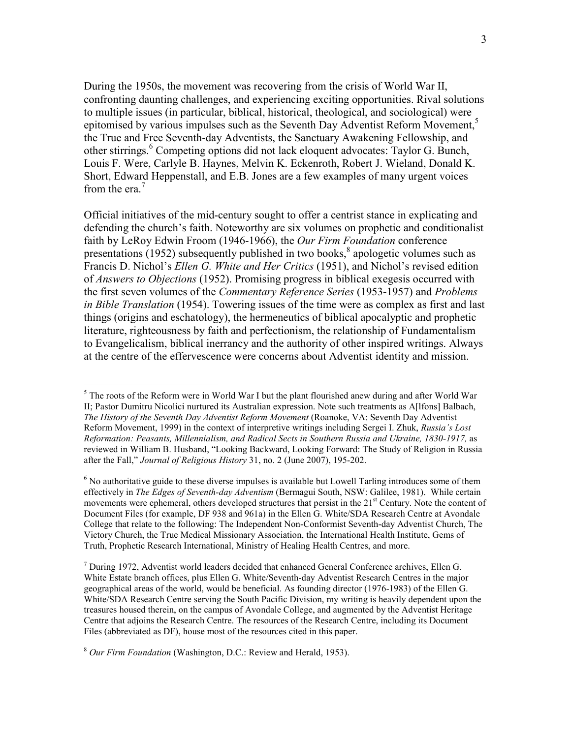During the 1950s, the movement was recovering from the crisis of World War II, confronting daunting challenges, and experiencing exciting opportunities. Rival solutions to multiple issues (in particular, biblical, historical, theological, and sociological) were epitomised by various impulses such as the Seventh Day Adventist Reform Movement,<sup>5</sup> the True and Free Seventh-day Adventists, the Sanctuary Awakening Fellowship, and other stirrings.<sup>6</sup> Competing options did not lack eloquent advocates: Taylor G. Bunch, Louis F. Were, Carlyle B. Haynes, Melvin K. Eckenroth, Robert J. Wieland, Donald K. Short, Edward Heppenstall, and E.B. Jones are a few examples of many urgent voices from the era.<sup>7</sup>

Official initiatives of the mid-century sought to offer a centrist stance in explicating and defending the church's faith. Noteworthy are six volumes on prophetic and conditionalist faith by LeRoy Edwin Froom (1946-1966), the Our Firm Foundation conference presentations (1952) subsequently published in two books, $<sup>8</sup>$  apologetic volumes such as</sup> Francis D. Nichol's Ellen G. White and Her Critics (1951), and Nichol's revised edition of Answers to Objections (1952). Promising progress in biblical exegesis occurred with the first seven volumes of the Commentary Reference Series (1953-1957) and Problems in Bible Translation (1954). Towering issues of the time were as complex as first and last things (origins and eschatology), the hermeneutics of biblical apocalyptic and prophetic literature, righteousness by faith and perfectionism, the relationship of Fundamentalism to Evangelicalism, biblical inerrancy and the authority of other inspired writings. Always at the centre of the effervescence were concerns about Adventist identity and mission.

<sup>&</sup>lt;sup>5</sup> The roots of the Reform were in World War I but the plant flourished anew during and after World War II; Pastor Dumitru Nicolici nurtured its Australian expression. Note such treatments as A[lfons] Balbach, The History of the Seventh Day Adventist Reform Movement (Roanoke, VA: Seventh Day Adventist Reform Movement, 1999) in the context of interpretive writings including Sergei I. Zhuk, Russia's Lost Reformation: Peasants, Millennialism, and Radical Sects in Southern Russia and Ukraine, 1830-1917, as reviewed in William B. Husband, "Looking Backward, Looking Forward: The Study of Religion in Russia after the Fall," Journal of Religious History 31, no. 2 (June 2007), 195-202.

<sup>&</sup>lt;sup>6</sup> No authoritative guide to these diverse impulses is available but Lowell Tarling introduces some of them effectively in The Edges of Seventh-day Adventism (Bermagui South, NSW: Galilee, 1981). While certain movements were ephemeral, others developed structures that persist in the 21<sup>st</sup> Century. Note the content of Document Files (for example, DF 938 and 961a) in the Ellen G. White/SDA Research Centre at Avondale College that relate to the following: The Independent Non-Conformist Seventh-day Adventist Church, The Victory Church, the True Medical Missionary Association, the International Health Institute, Gems of Truth, Prophetic Research International, Ministry of Healing Health Centres, and more.

 $<sup>7</sup>$  During 1972, Adventist world leaders decided that enhanced General Conference archives, Ellen G.</sup> White Estate branch offices, plus Ellen G. White/Seventh-day Adventist Research Centres in the major geographical areas of the world, would be beneficial. As founding director (1976-1983) of the Ellen G. White/SDA Research Centre serving the South Pacific Division, my writing is heavily dependent upon the treasures housed therein, on the campus of Avondale College, and augmented by the Adventist Heritage Centre that adjoins the Research Centre. The resources of the Research Centre, including its Document Files (abbreviated as DF), house most of the resources cited in this paper.

 $8$  Our Firm Foundation (Washington, D.C.: Review and Herald, 1953).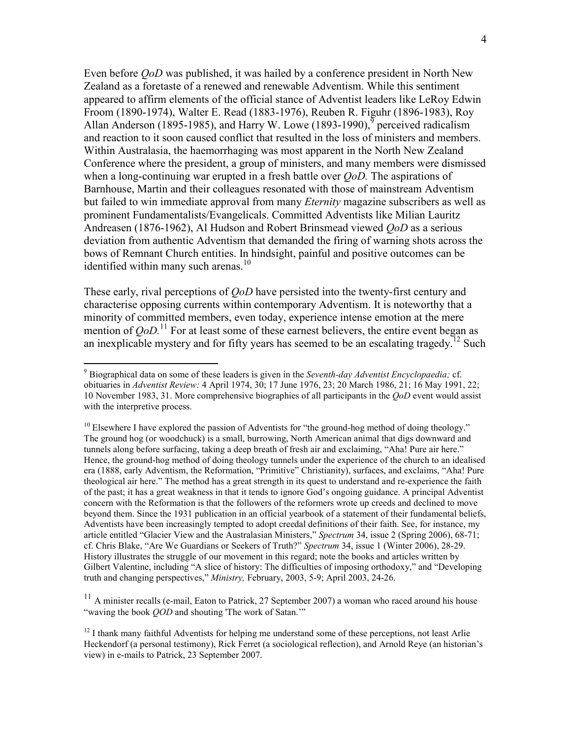Even before *OoD* was published, it was hailed by a conference president in North New Zealand as a foretaste of a renewed and renewable Adventism. While this sentiment appeared to affirm elements of the official stance of Adventist leaders like LeRoy Edwin Froom (1890-1974), Walter E. Read (1883-1976), Reuben R. Figuhr (1896-1983), Roy Allan Anderson (1895-1985), and Harry W. Lowe (1893-1990), perceived radicalism and reaction to it soon caused conflict that resulted in the loss of ministers and members. Within Australasia, the haemorrhaging was most apparent in the North New Zealand Conference where the president, a group of ministers, and many members were dismissed when a long-continuing war erupted in a fresh battle over *OoD*. The aspirations of Barnhouse, Martin and their colleagues resonated with those of mainstream Adventism but failed to win immediate approval from many *Eternity* magazine subscribers as well as prominent Fundamentalists/Evangelicals. Committed Adventists like Milian Lauritz Andreasen (1876-1962), Al Hudson and Robert Brinsmead viewed QoD as a serious deviation from authentic Adventism that demanded the firing of warning shots across the bows of Remnant Church entities. In hindsight, painful and positive outcomes can be identified within many such arenas.<sup>10</sup>

These early, rival perceptions of *QoD* have persisted into the twenty-first century and characterise opposing currents within contemporary Adventism. It is noteworthy that a minority of committed members, even today, experience intense emotion at the mere mention of  $QoD$ .<sup>11</sup> For at least some of these earnest believers, the entire event began as an inexplicable mystery and for fifty years has seemed to be an escalating tragedy.<sup>12</sup> Such

 $\overline{a}$ 

 $11$  A minister recalls (e-mail, Eaton to Patrick, 27 September 2007) a woman who raced around his house "waving the book QOD and shouting 'The work of Satan.'"

 $9$  Biographical data on some of these leaders is given in the Seventh-day Adventist Encyclopaedia; cf. obituaries in Adventist Review: 4 April 1974, 30; 17 June 1976, 23; 20 March 1986, 21; 16 May 1991, 22; 10 November 1983, 31. More comprehensive biographies of all participants in the QoD event would assist with the interpretive process.

 $10$  Elsewhere I have explored the passion of Adventists for "the ground-hog method of doing theology." The ground hog (or woodchuck) is a small, burrowing, North American animal that digs downward and tunnels along before surfacing, taking a deep breath of fresh air and exclaiming, "Aha! Pure air here." Hence, the ground-hog method of doing theology tunnels under the experience of the church to an idealised era (1888, early Adventism, the Reformation, "Primitive" Christianity), surfaces, and exclaims, "Aha! Pure theological air here." The method has a great strength in its quest to understand and re-experience the faith of the past; it has a great weakness in that it tends to ignore God's ongoing guidance. A principal Adventist concern with the Reformation is that the followers of the reformers wrote up creeds and declined to move beyond them. Since the 1931 publication in an official yearbook of a statement of their fundamental beliefs, Adventists have been increasingly tempted to adopt creedal definitions of their faith. See, for instance, my article entitled "Glacier View and the Australasian Ministers," Spectrum 34, issue 2 (Spring 2006), 68-71; cf. Chris Blake, "Are We Guardians or Seekers of Truth?" Spectrum 34, issue 1 (Winter 2006), 28-29. History illustrates the struggle of our movement in this regard; note the books and articles written by Gilbert Valentine, including "A slice of history: The difficulties of imposing orthodoxy," and "Developing truth and changing perspectives," Ministry, February, 2003, 5-9; April 2003, 24-26.

 $12$  I thank many faithful Adventists for helping me understand some of these perceptions, not least Arlie Heckendorf (a personal testimony), Rick Ferret (a sociological reflection), and Arnold Reye (an historian's view) in e-mails to Patrick, 23 September 2007.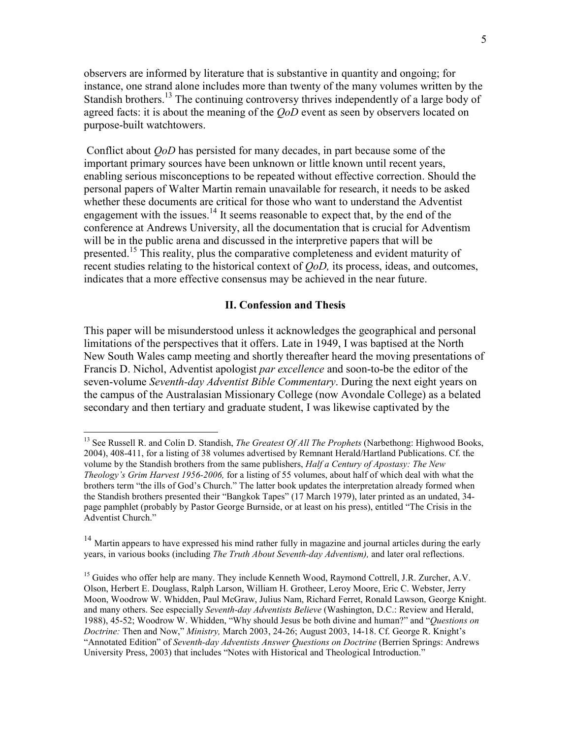observers are informed by literature that is substantive in quantity and ongoing; for instance, one strand alone includes more than twenty of the many volumes written by the Standish brothers.<sup>13</sup> The continuing controversy thrives independently of a large body of agreed facts: it is about the meaning of the *OoD* event as seen by observers located on purpose-built watchtowers.

 Conflict about QoD has persisted for many decades, in part because some of the important primary sources have been unknown or little known until recent years, enabling serious misconceptions to be repeated without effective correction. Should the personal papers of Walter Martin remain unavailable for research, it needs to be asked whether these documents are critical for those who want to understand the Adventist engagement with the issues.<sup>14</sup> It seems reasonable to expect that, by the end of the conference at Andrews University, all the documentation that is crucial for Adventism will be in the public arena and discussed in the interpretive papers that will be presented.<sup>15</sup> This reality, plus the comparative completeness and evident maturity of recent studies relating to the historical context of  $\dot{Q}oD$ , its process, ideas, and outcomes, indicates that a more effective consensus may be achieved in the near future.

## II. Confession and Thesis

This paper will be misunderstood unless it acknowledges the geographical and personal limitations of the perspectives that it offers. Late in 1949, I was baptised at the North New South Wales camp meeting and shortly thereafter heard the moving presentations of Francis D. Nichol, Adventist apologist *par excellence* and soon-to-be the editor of the seven-volume Seventh-day Adventist Bible Commentary. During the next eight years on the campus of the Australasian Missionary College (now Avondale College) as a belated secondary and then tertiary and graduate student, I was likewise captivated by the

 $\overline{a}$ 

<sup>&</sup>lt;sup>13</sup> See Russell R. and Colin D. Standish, *The Greatest Of All The Prophets* (Narbethong: Highwood Books, 2004), 408-411, for a listing of 38 volumes advertised by Remnant Herald/Hartland Publications. Cf. the volume by the Standish brothers from the same publishers, *Half a Century of Apostasy: The New* Theology's Grim Harvest 1956-2006, for a listing of 55 volumes, about half of which deal with what the brothers term "the ills of God's Church." The latter book updates the interpretation already formed when the Standish brothers presented their "Bangkok Tapes" (17 March 1979), later printed as an undated, 34 page pamphlet (probably by Pastor George Burnside, or at least on his press), entitled "The Crisis in the Adventist Church."

<sup>&</sup>lt;sup>14</sup> Martin appears to have expressed his mind rather fully in magazine and journal articles during the early years, in various books (including *The Truth About Seventh-day Adventism*), and later oral reflections.

<sup>&</sup>lt;sup>15</sup> Guides who offer help are many. They include Kenneth Wood, Raymond Cottrell, J.R. Zurcher, A.V. Olson, Herbert E. Douglass, Ralph Larson, William H. Grotheer, Leroy Moore, Eric C. Webster, Jerry Moon, Woodrow W. Whidden, Paul McGraw, Julius Nam, Richard Ferret, Ronald Lawson, George Knight. and many others. See especially Seventh-day Adventists Believe (Washington, D.C.: Review and Herald, 1988), 45-52; Woodrow W. Whidden, "Why should Jesus be both divine and human?" and "Questions on Doctrine: Then and Now," Ministry, March 2003, 24-26; August 2003, 14-18. Cf. George R. Knight's "Annotated Edition" of Seventh-day Adventists Answer Questions on Doctrine (Berrien Springs: Andrews University Press, 2003) that includes "Notes with Historical and Theological Introduction."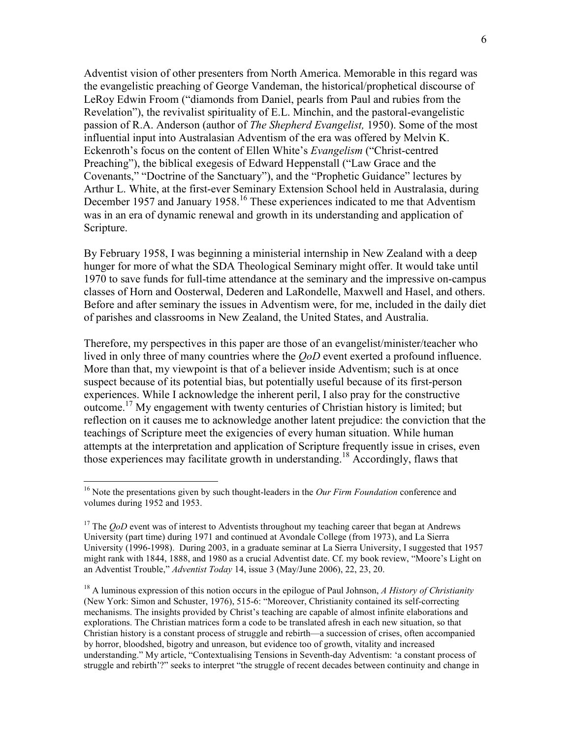Adventist vision of other presenters from North America. Memorable in this regard was the evangelistic preaching of George Vandeman, the historical/prophetical discourse of LeRoy Edwin Froom ("diamonds from Daniel, pearls from Paul and rubies from the Revelation"), the revivalist spirituality of E.L. Minchin, and the pastoral-evangelistic passion of R.A. Anderson (author of The Shepherd Evangelist, 1950). Some of the most influential input into Australasian Adventism of the era was offered by Melvin K. Eckenroth's focus on the content of Ellen White's Evangelism ("Christ-centred Preaching"), the biblical exegesis of Edward Heppenstall ("Law Grace and the Covenants," "Doctrine of the Sanctuary"), and the "Prophetic Guidance" lectures by Arthur L. White, at the first-ever Seminary Extension School held in Australasia, during December 1957 and January 1958.<sup>16</sup> These experiences indicated to me that Adventism was in an era of dynamic renewal and growth in its understanding and application of Scripture.

By February 1958, I was beginning a ministerial internship in New Zealand with a deep hunger for more of what the SDA Theological Seminary might offer. It would take until 1970 to save funds for full-time attendance at the seminary and the impressive on-campus classes of Horn and Oosterwal, Dederen and LaRondelle, Maxwell and Hasel, and others. Before and after seminary the issues in Adventism were, for me, included in the daily diet of parishes and classrooms in New Zealand, the United States, and Australia.

Therefore, my perspectives in this paper are those of an evangelist/minister/teacher who lived in only three of many countries where the *OoD* event exerted a profound influence. More than that, my viewpoint is that of a believer inside Adventism; such is at once suspect because of its potential bias, but potentially useful because of its first-person experiences. While I acknowledge the inherent peril, I also pray for the constructive outcome.<sup>17</sup> My engagement with twenty centuries of Christian history is limited; but reflection on it causes me to acknowledge another latent prejudice: the conviction that the teachings of Scripture meet the exigencies of every human situation. While human attempts at the interpretation and application of Scripture frequently issue in crises, even those experiences may facilitate growth in understanding.<sup>18</sup> Accordingly, flaws that

<sup>&</sup>lt;sup>16</sup> Note the presentations given by such thought-leaders in the *Our Firm Foundation* conference and volumes during 1952 and 1953.

<sup>&</sup>lt;sup>17</sup> The  $QoD$  event was of interest to Adventists throughout my teaching career that began at Andrews University (part time) during 1971 and continued at Avondale College (from 1973), and La Sierra University (1996-1998). During 2003, in a graduate seminar at La Sierra University, I suggested that 1957 might rank with 1844, 1888, and 1980 as a crucial Adventist date. Cf. my book review, "Moore's Light on an Adventist Trouble," Adventist Today 14, issue 3 (May/June 2006), 22, 23, 20.

<sup>&</sup>lt;sup>18</sup> A luminous expression of this notion occurs in the epilogue of Paul Johnson, A History of Christianity (New York: Simon and Schuster, 1976), 515-6: "Moreover, Christianity contained its self-correcting mechanisms. The insights provided by Christ's teaching are capable of almost infinite elaborations and explorations. The Christian matrices form a code to be translated afresh in each new situation, so that Christian history is a constant process of struggle and rebirth—a succession of crises, often accompanied by horror, bloodshed, bigotry and unreason, but evidence too of growth, vitality and increased understanding." My article, "Contextualising Tensions in Seventh-day Adventism: 'a constant process of struggle and rebirth'?" seeks to interpret "the struggle of recent decades between continuity and change in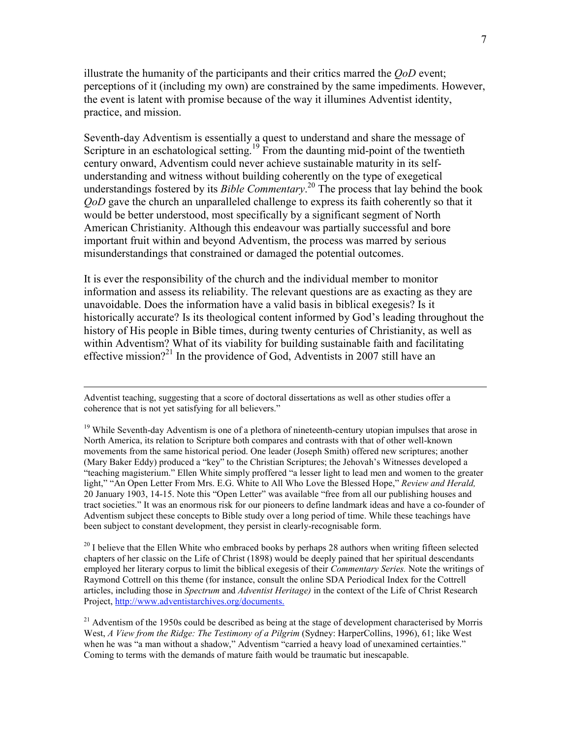illustrate the humanity of the participants and their critics marred the  $O<sub>o</sub>D$  event; perceptions of it (including my own) are constrained by the same impediments. However, the event is latent with promise because of the way it illumines Adventist identity, practice, and mission.

Seventh-day Adventism is essentially a quest to understand and share the message of Scripture in an eschatological setting.<sup>19</sup> From the daunting mid-point of the twentieth century onward, Adventism could never achieve sustainable maturity in its selfunderstanding and witness without building coherently on the type of exegetical understandings fostered by its *Bible Commentary*.<sup>20</sup> The process that lay behind the book QoD gave the church an unparalleled challenge to express its faith coherently so that it would be better understood, most specifically by a significant segment of North American Christianity. Although this endeavour was partially successful and bore important fruit within and beyond Adventism, the process was marred by serious misunderstandings that constrained or damaged the potential outcomes.

It is ever the responsibility of the church and the individual member to monitor information and assess its reliability. The relevant questions are as exacting as they are unavoidable. Does the information have a valid basis in biblical exegesis? Is it historically accurate? Is its theological content informed by God's leading throughout the history of His people in Bible times, during twenty centuries of Christianity, as well as within Adventism? What of its viability for building sustainable faith and facilitating effective mission?<sup>21</sup> In the providence of God, Adventists in 2007 still have an

 $\overline{a}$ 

 $20$  I believe that the Ellen White who embraced books by perhaps 28 authors when writing fifteen selected chapters of her classic on the Life of Christ (1898) would be deeply pained that her spiritual descendants employed her literary corpus to limit the biblical exegesis of their Commentary Series. Note the writings of Raymond Cottrell on this theme (for instance, consult the online SDA Periodical Index for the Cottrell articles, including those in *Spectrum* and *Adventist Heritage*) in the context of the Life of Christ Research Project, http://www.adventistarchives.org/documents.

Adventist teaching, suggesting that a score of doctoral dissertations as well as other studies offer a coherence that is not yet satisfying for all believers."

<sup>&</sup>lt;sup>19</sup> While Seventh-day Adventism is one of a plethora of nineteenth-century utopian impulses that arose in North America, its relation to Scripture both compares and contrasts with that of other well-known movements from the same historical period. One leader (Joseph Smith) offered new scriptures; another (Mary Baker Eddy) produced a "key" to the Christian Scriptures; the Jehovah's Witnesses developed a "teaching magisterium." Ellen White simply proffered "a lesser light to lead men and women to the greater light," "An Open Letter From Mrs. E.G. White to All Who Love the Blessed Hope," Review and Herald, 20 January 1903, 14-15. Note this "Open Letter" was available "free from all our publishing houses and tract societies." It was an enormous risk for our pioneers to define landmark ideas and have a co-founder of Adventism subject these concepts to Bible study over a long period of time. While these teachings have been subject to constant development, they persist in clearly-recognisable form.

<sup>&</sup>lt;sup>21</sup> Adventism of the 1950s could be described as being at the stage of development characterised by Morris West, A View from the Ridge: The Testimony of a Pilgrim (Sydney: HarperCollins, 1996), 61; like West when he was "a man without a shadow," Adventism "carried a heavy load of unexamined certainties." Coming to terms with the demands of mature faith would be traumatic but inescapable.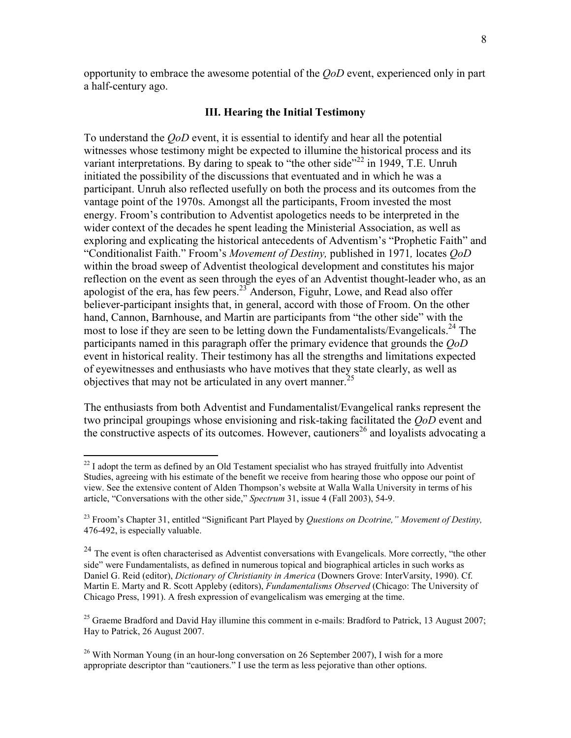opportunity to embrace the awesome potential of the QoD event, experienced only in part a half-century ago.

#### III. Hearing the Initial Testimony

To understand the QoD event, it is essential to identify and hear all the potential witnesses whose testimony might be expected to illumine the historical process and its variant interpretations. By daring to speak to "the other side"<sup>22</sup> in 1949, T.E. Unruh initiated the possibility of the discussions that eventuated and in which he was a participant. Unruh also reflected usefully on both the process and its outcomes from the vantage point of the 1970s. Amongst all the participants, Froom invested the most energy. Froom's contribution to Adventist apologetics needs to be interpreted in the wider context of the decades he spent leading the Ministerial Association, as well as exploring and explicating the historical antecedents of Adventism's "Prophetic Faith" and "Conditionalist Faith." Froom's Movement of Destiny, published in 1971, locates QoD within the broad sweep of Adventist theological development and constitutes his major reflection on the event as seen through the eyes of an Adventist thought-leader who, as an apologist of the era, has few peers.<sup>23</sup> Anderson, Figuhr, Lowe, and Read also offer believer-participant insights that, in general, accord with those of Froom. On the other hand, Cannon, Barnhouse, and Martin are participants from "the other side" with the most to lose if they are seen to be letting down the Fundamentalists/Evangelicals.<sup>24</sup> The participants named in this paragraph offer the primary evidence that grounds the QoD event in historical reality. Their testimony has all the strengths and limitations expected of eyewitnesses and enthusiasts who have motives that they state clearly, as well as objectives that may not be articulated in any overt manner.<sup>25</sup>

The enthusiasts from both Adventist and Fundamentalist/Evangelical ranks represent the two principal groupings whose envisioning and risk-taking facilitated the *QoD* event and the constructive aspects of its outcomes. However, cautioners<sup>26</sup> and loyalists advocating a

 $\overline{a}$ 

 $^{22}$  I adopt the term as defined by an Old Testament specialist who has strayed fruitfully into Adventist Studies, agreeing with his estimate of the benefit we receive from hearing those who oppose our point of view. See the extensive content of Alden Thompson's website at Walla Walla University in terms of his article, "Conversations with the other side," Spectrum 31, issue 4 (Fall 2003), 54-9.

 $^{23}$  Froom's Chapter 31, entitled "Significant Part Played by *Ouestions on Dcotrine," Movement of Destiny*, 476-492, is especially valuable.

<sup>&</sup>lt;sup>24</sup> The event is often characterised as Adventist conversations with Evangelicals. More correctly, "the other side" were Fundamentalists, as defined in numerous topical and biographical articles in such works as Daniel G. Reid (editor), Dictionary of Christianity in America (Downers Grove: InterVarsity, 1990). Cf. Martin E. Marty and R. Scott Appleby (editors), Fundamentalisms Observed (Chicago: The University of Chicago Press, 1991). A fresh expression of evangelicalism was emerging at the time.

<sup>&</sup>lt;sup>25</sup> Graeme Bradford and David Hay illumine this comment in e-mails: Bradford to Patrick, 13 August 2007; Hay to Patrick, 26 August 2007.

<sup>&</sup>lt;sup>26</sup> With Norman Young (in an hour-long conversation on 26 September 2007), I wish for a more appropriate descriptor than "cautioners." I use the term as less pejorative than other options.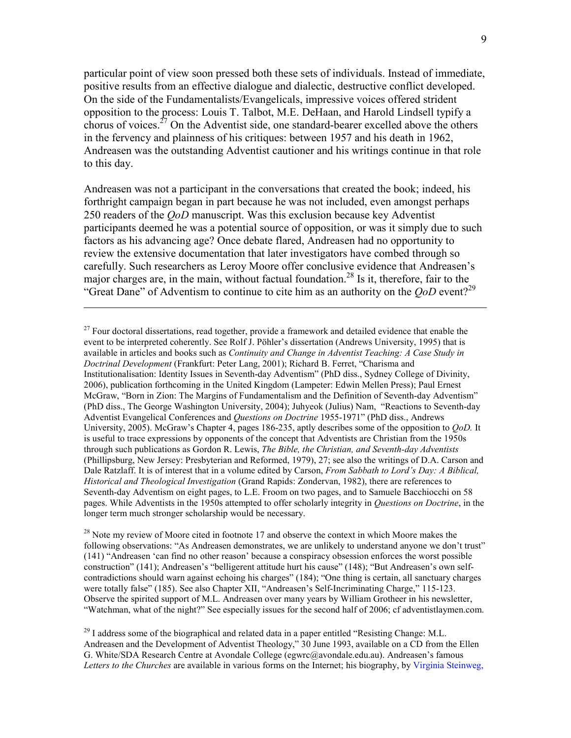particular point of view soon pressed both these sets of individuals. Instead of immediate, positive results from an effective dialogue and dialectic, destructive conflict developed. On the side of the Fundamentalists/Evangelicals, impressive voices offered strident opposition to the process: Louis T. Talbot, M.E. DeHaan, and Harold Lindsell typify a chorus of voices.<sup>27</sup> On the Adventist side, one standard-bearer excelled above the others in the fervency and plainness of his critiques: between 1957 and his death in 1962, Andreasen was the outstanding Adventist cautioner and his writings continue in that role to this day.

Andreasen was not a participant in the conversations that created the book; indeed, his forthright campaign began in part because he was not included, even amongst perhaps 250 readers of the *OoD* manuscript. Was this exclusion because key Adventist participants deemed he was a potential source of opposition, or was it simply due to such factors as his advancing age? Once debate flared, Andreasen had no opportunity to review the extensive documentation that later investigators have combed through so carefully. Such researchers as Leroy Moore offer conclusive evidence that Andreasen's major charges are, in the main, without factual foundation.<sup>28</sup> Is it, therefore, fair to the "Great Dane" of Adventism to continue to cite him as an authority on the  $OoD$  event?<sup>29</sup>

 $\overline{a}$ 

 $28$  Note my review of Moore cited in footnote 17 and observe the context in which Moore makes the following observations: "As Andreasen demonstrates, we are unlikely to understand anyone we don't trust" (141) "Andreasen 'can find no other reason' because a conspiracy obsession enforces the worst possible construction" (141); Andreasen's "belligerent attitude hurt his cause" (148); "But Andreasen's own selfcontradictions should warn against echoing his charges" (184); "One thing is certain, all sanctuary charges were totally false" (185). See also Chapter XII, "Andreasen's Self-Incriminating Charge," 115-123. Observe the spirited support of M.L. Andreasen over many years by William Grotheer in his newsletter, "Watchman, what of the night?" See especially issues for the second half of 2006; cf adventistlaymen.com.

 $^{29}$  I address some of the biographical and related data in a paper entitled "Resisting Change: M.L. Andreasen and the Development of Adventist Theology," 30 June 1993, available on a CD from the Ellen G. White/SDA Research Centre at Avondale College (egwrc@avondale.edu.au). Andreasen's famous Letters to the Churches are available in various forms on the Internet; his biography, by Virginia Steinweg,

 $27$  Four doctoral dissertations, read together, provide a framework and detailed evidence that enable the event to be interpreted coherently. See Rolf J. Pöhler's dissertation (Andrews University, 1995) that is available in articles and books such as Continuity and Change in Adventist Teaching: A Case Study in Doctrinal Development (Frankfurt: Peter Lang, 2001); Richard B. Ferret, "Charisma and Institutionalisation: Identity Issues in Seventh-day Adventism" (PhD diss., Sydney College of Divinity, 2006), publication forthcoming in the United Kingdom (Lampeter: Edwin Mellen Press); Paul Ernest McGraw, "Born in Zion: The Margins of Fundamentalism and the Definition of Seventh-day Adventism" (PhD diss., The George Washington University, 2004); Juhyeok (Julius) Nam, "Reactions to Seventh-day Adventist Evangelical Conferences and Questions on Doctrine 1955-1971" (PhD diss., Andrews University, 2005). McGraw's Chapter 4, pages 186-235, aptly describes some of the opposition to *OoD*. It is useful to trace expressions by opponents of the concept that Adventists are Christian from the 1950s through such publications as Gordon R. Lewis, *The Bible, the Christian, and Seventh-day Adventists* (Phillipsburg, New Jersey: Presbyterian and Reformed, 1979), 27; see also the writings of D.A. Carson and Dale Ratzlaff. It is of interest that in a volume edited by Carson, From Sabbath to Lord's Day: A Biblical, Historical and Theological Investigation (Grand Rapids: Zondervan, 1982), there are references to Seventh-day Adventism on eight pages, to L.E. Froom on two pages, and to Samuele Bacchiocchi on 58 pages. While Adventists in the 1950s attempted to offer scholarly integrity in Questions on Doctrine, in the longer term much stronger scholarship would be necessary.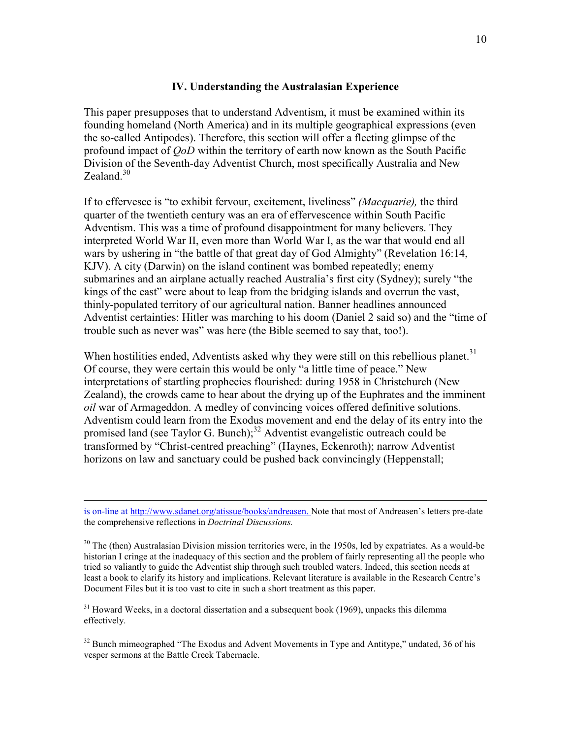## IV. Understanding the Australasian Experience

This paper presupposes that to understand Adventism, it must be examined within its founding homeland (North America) and in its multiple geographical expressions (even the so-called Antipodes). Therefore, this section will offer a fleeting glimpse of the profound impact of QoD within the territory of earth now known as the South Pacific Division of the Seventh-day Adventist Church, most specifically Australia and New Zealand  $30$ 

If to effervesce is "to exhibit fervour, excitement, liveliness" (Macquarie), the third quarter of the twentieth century was an era of effervescence within South Pacific Adventism. This was a time of profound disappointment for many believers. They interpreted World War II, even more than World War I, as the war that would end all wars by ushering in "the battle of that great day of God Almighty" (Revelation 16:14, KJV). A city (Darwin) on the island continent was bombed repeatedly; enemy submarines and an airplane actually reached Australia's first city (Sydney); surely "the kings of the east" were about to leap from the bridging islands and overrun the vast, thinly-populated territory of our agricultural nation. Banner headlines announced Adventist certainties: Hitler was marching to his doom (Daniel 2 said so) and the "time of trouble such as never was" was here (the Bible seemed to say that, too!).

When hostilities ended, Adventists asked why they were still on this rebellious planet.<sup>31</sup> Of course, they were certain this would be only "a little time of peace." New interpretations of startling prophecies flourished: during 1958 in Christchurch (New Zealand), the crowds came to hear about the drying up of the Euphrates and the imminent oil war of Armageddon. A medley of convincing voices offered definitive solutions. Adventism could learn from the Exodus movement and end the delay of its entry into the promised land (see Taylor G. Bunch); $32$  Adventist evangelistic outreach could be transformed by "Christ-centred preaching" (Haynes, Eckenroth); narrow Adventist horizons on law and sanctuary could be pushed back convincingly (Heppenstall;

is on-line at http://www.sdanet.org/atissue/books/andreasen. Note that most of Andreasen's letters pre-date the comprehensive reflections in Doctrinal Discussions.

<sup>&</sup>lt;sup>30</sup> The (then) Australasian Division mission territories were, in the 1950s, led by expatriates. As a would-be historian I cringe at the inadequacy of this section and the problem of fairly representing all the people who tried so valiantly to guide the Adventist ship through such troubled waters. Indeed, this section needs at least a book to clarify its history and implications. Relevant literature is available in the Research Centre's Document Files but it is too vast to cite in such a short treatment as this paper.

 $31$  Howard Weeks, in a doctoral dissertation and a subsequent book (1969), unpacks this dilemma effectively.

 $32$  Bunch mimeographed "The Exodus and Advent Movements in Type and Antitype," undated, 36 of his vesper sermons at the Battle Creek Tabernacle.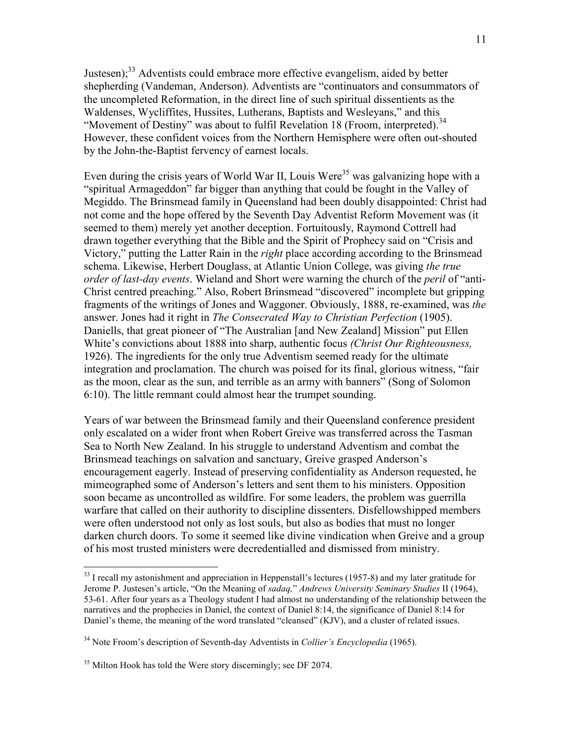Justesen);<sup>33</sup> Adventists could embrace more effective evangelism, aided by better shepherding (Vandeman, Anderson). Adventists are "continuators and consummators of the uncompleted Reformation, in the direct line of such spiritual dissentients as the Waldenses, Wycliffites, Hussites, Lutherans, Baptists and Wesleyans," and this "Movement of Destiny" was about to fulfil Revelation 18 (Froom, interpreted).<sup>34</sup> However, these confident voices from the Northern Hemisphere were often out-shouted by the John-the-Baptist fervency of earnest locals.

Even during the crisis years of World War II, Louis Were<sup>35</sup> was galvanizing hope with a "spiritual Armageddon" far bigger than anything that could be fought in the Valley of Megiddo. The Brinsmead family in Queensland had been doubly disappointed: Christ had not come and the hope offered by the Seventh Day Adventist Reform Movement was (it seemed to them) merely yet another deception. Fortuitously, Raymond Cottrell had drawn together everything that the Bible and the Spirit of Prophecy said on "Crisis and Victory," putting the Latter Rain in the *right* place according according to the Brinsmead schema. Likewise, Herbert Douglass, at Atlantic Union College, was giving the true order of last-day events. Wieland and Short were warning the church of the *peril* of "anti-Christ centred preaching." Also, Robert Brinsmead "discovered" incomplete but gripping fragments of the writings of Jones and Waggoner. Obviously, 1888, re-examined, was the answer. Jones had it right in The Consecrated Way to Christian Perfection (1905). Daniells, that great pioneer of "The Australian [and New Zealand] Mission" put Ellen White's convictions about 1888 into sharp, authentic focus (Christ Our Righteousness, 1926). The ingredients for the only true Adventism seemed ready for the ultimate integration and proclamation. The church was poised for its final, glorious witness, "fair as the moon, clear as the sun, and terrible as an army with banners" (Song of Solomon 6:10). The little remnant could almost hear the trumpet sounding.

Years of war between the Brinsmead family and their Queensland conference president only escalated on a wider front when Robert Greive was transferred across the Tasman Sea to North New Zealand. In his struggle to understand Adventism and combat the Brinsmead teachings on salvation and sanctuary, Greive grasped Anderson's encouragement eagerly. Instead of preserving confidentiality as Anderson requested, he mimeographed some of Anderson's letters and sent them to his ministers. Opposition soon became as uncontrolled as wildfire. For some leaders, the problem was guerrilla warfare that called on their authority to discipline dissenters. Disfellowshipped members were often understood not only as lost souls, but also as bodies that must no longer darken church doors. To some it seemed like divine vindication when Greive and a group of his most trusted ministers were decredentialled and dismissed from ministry.

<sup>&</sup>lt;u>.</u>  $33$  I recall my astonishment and appreciation in Heppenstall's lectures (1957-8) and my later gratitude for Jerome P. Justesen's article, "On the Meaning of sadaq," Andrews University Seminary Studies II (1964), 53-61. After four years as a Theology student I had almost no understanding of the relationship between the narratives and the prophecies in Daniel, the context of Daniel 8:14, the significance of Daniel 8:14 for Daniel's theme, the meaning of the word translated "cleansed" (KJV), and a cluster of related issues.

<sup>&</sup>lt;sup>34</sup> Note Froom's description of Seventh-day Adventists in *Collier's Encyclopedia* (1965).

<sup>&</sup>lt;sup>35</sup> Milton Hook has told the Were story discerningly; see DF 2074.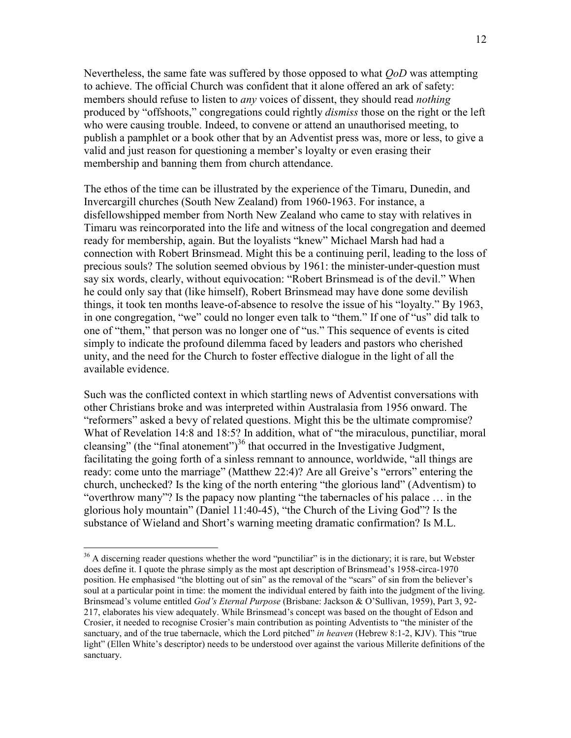Nevertheless, the same fate was suffered by those opposed to what *OoD* was attempting to achieve. The official Church was confident that it alone offered an ark of safety: members should refuse to listen to *any* voices of dissent, they should read *nothing* produced by "offshoots," congregations could rightly *dismiss* those on the right or the left who were causing trouble. Indeed, to convene or attend an unauthorised meeting, to publish a pamphlet or a book other that by an Adventist press was, more or less, to give a valid and just reason for questioning a member's loyalty or even erasing their membership and banning them from church attendance.

The ethos of the time can be illustrated by the experience of the Timaru, Dunedin, and Invercargill churches (South New Zealand) from 1960-1963. For instance, a disfellowshipped member from North New Zealand who came to stay with relatives in Timaru was reincorporated into the life and witness of the local congregation and deemed ready for membership, again. But the loyalists "knew" Michael Marsh had had a connection with Robert Brinsmead. Might this be a continuing peril, leading to the loss of precious souls? The solution seemed obvious by 1961: the minister-under-question must say six words, clearly, without equivocation: "Robert Brinsmead is of the devil." When he could only say that (like himself), Robert Brinsmead may have done some devilish things, it took ten months leave-of-absence to resolve the issue of his "loyalty." By 1963, in one congregation, "we" could no longer even talk to "them." If one of "us" did talk to one of "them," that person was no longer one of "us." This sequence of events is cited simply to indicate the profound dilemma faced by leaders and pastors who cherished unity, and the need for the Church to foster effective dialogue in the light of all the available evidence.

Such was the conflicted context in which startling news of Adventist conversations with other Christians broke and was interpreted within Australasia from 1956 onward. The "reformers" asked a bevy of related questions. Might this be the ultimate compromise? What of Revelation 14:8 and 18:5? In addition, what of "the miraculous, punctiliar, moral cleansing" (the "final atonement")<sup>36</sup> that occurred in the Investigative Judgment, facilitating the going forth of a sinless remnant to announce, worldwide, "all things are ready: come unto the marriage" (Matthew 22:4)? Are all Greive's "errors" entering the church, unchecked? Is the king of the north entering "the glorious land" (Adventism) to "overthrow many"? Is the papacy now planting "the tabernacles of his palace … in the glorious holy mountain" (Daniel 11:40-45), "the Church of the Living God"? Is the substance of Wieland and Short's warning meeting dramatic confirmation? Is M.L.

 $\overline{a}$ 

<sup>&</sup>lt;sup>36</sup> A discerning reader questions whether the word "punctiliar" is in the dictionary; it is rare, but Webster does define it. I quote the phrase simply as the most apt description of Brinsmead's 1958-circa-1970 position. He emphasised "the blotting out of sin" as the removal of the "scars" of sin from the believer's soul at a particular point in time: the moment the individual entered by faith into the judgment of the living. Brinsmead's volume entitled God's Eternal Purpose (Brisbane: Jackson & O'Sullivan, 1959), Part 3, 92-217, elaborates his view adequately. While Brinsmead's concept was based on the thought of Edson and Crosier, it needed to recognise Crosier's main contribution as pointing Adventists to "the minister of the sanctuary, and of the true tabernacle, which the Lord pitched" in heaven (Hebrew 8:1-2, KJV). This "true light" (Ellen White's descriptor) needs to be understood over against the various Millerite definitions of the sanctuary.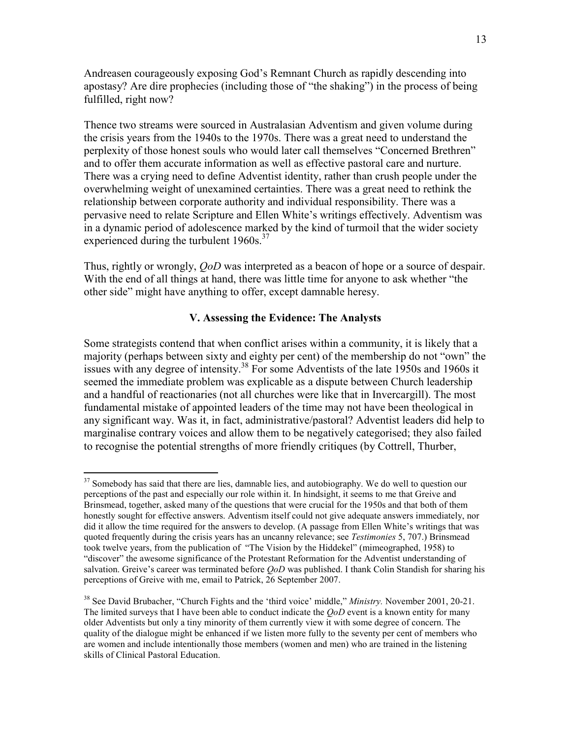Andreasen courageously exposing God's Remnant Church as rapidly descending into apostasy? Are dire prophecies (including those of "the shaking") in the process of being fulfilled, right now?

Thence two streams were sourced in Australasian Adventism and given volume during the crisis years from the 1940s to the 1970s. There was a great need to understand the perplexity of those honest souls who would later call themselves "Concerned Brethren" and to offer them accurate information as well as effective pastoral care and nurture. There was a crying need to define Adventist identity, rather than crush people under the overwhelming weight of unexamined certainties. There was a great need to rethink the relationship between corporate authority and individual responsibility. There was a pervasive need to relate Scripture and Ellen White's writings effectively. Adventism was in a dynamic period of adolescence marked by the kind of turmoil that the wider society experienced during the turbulent  $1960s$ .<sup>37</sup>

Thus, rightly or wrongly, *QoD* was interpreted as a beacon of hope or a source of despair. With the end of all things at hand, there was little time for anyone to ask whether "the other side" might have anything to offer, except damnable heresy.

# V. Assessing the Evidence: The Analysts

Some strategists contend that when conflict arises within a community, it is likely that a majority (perhaps between sixty and eighty per cent) of the membership do not "own" the issues with any degree of intensity.<sup>38</sup> For some Adventists of the late 1950s and 1960s it seemed the immediate problem was explicable as a dispute between Church leadership and a handful of reactionaries (not all churches were like that in Invercargill). The most fundamental mistake of appointed leaders of the time may not have been theological in any significant way. Was it, in fact, administrative/pastoral? Adventist leaders did help to marginalise contrary voices and allow them to be negatively categorised; they also failed to recognise the potential strengths of more friendly critiques (by Cottrell, Thurber,

<sup>-</sup><sup>37</sup> Somebody has said that there are lies, damnable lies, and autobiography. We do well to question our perceptions of the past and especially our role within it. In hindsight, it seems to me that Greive and Brinsmead, together, asked many of the questions that were crucial for the 1950s and that both of them honestly sought for effective answers. Adventism itself could not give adequate answers immediately, nor did it allow the time required for the answers to develop. (A passage from Ellen White's writings that was quoted frequently during the crisis years has an uncanny relevance; see Testimonies 5, 707.) Brinsmead took twelve years, from the publication of "The Vision by the Hiddekel" (mimeographed, 1958) to "discover" the awesome significance of the Protestant Reformation for the Adventist understanding of salvation. Greive's career was terminated before *QoD* was published. I thank Colin Standish for sharing his perceptions of Greive with me, email to Patrick, 26 September 2007.

<sup>&</sup>lt;sup>38</sup> See David Brubacher, "Church Fights and the 'third voice' middle," *Ministry*. November 2001, 20-21. The limited surveys that I have been able to conduct indicate the  $OoD$  event is a known entity for many older Adventists but only a tiny minority of them currently view it with some degree of concern. The quality of the dialogue might be enhanced if we listen more fully to the seventy per cent of members who are women and include intentionally those members (women and men) who are trained in the listening skills of Clinical Pastoral Education.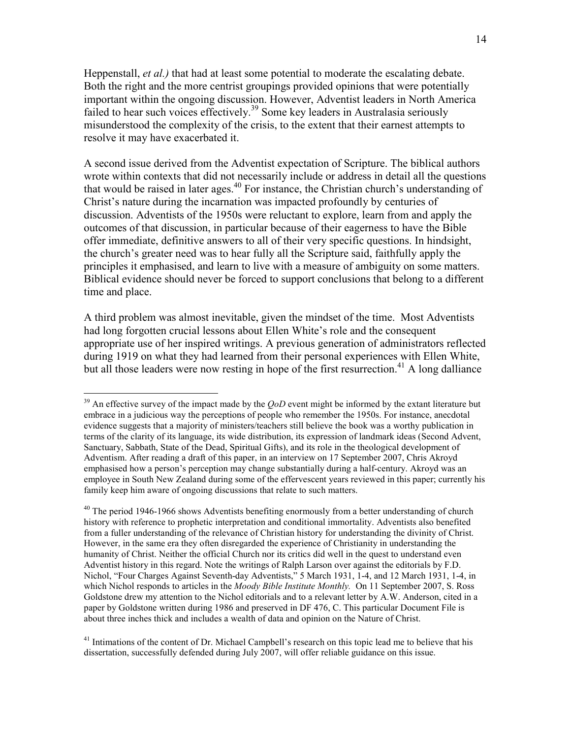Heppenstall, *et al.*) that had at least some potential to moderate the escalating debate. Both the right and the more centrist groupings provided opinions that were potentially important within the ongoing discussion. However, Adventist leaders in North America failed to hear such voices effectively.<sup>39</sup> Some key leaders in Australasia seriously misunderstood the complexity of the crisis, to the extent that their earnest attempts to resolve it may have exacerbated it.

A second issue derived from the Adventist expectation of Scripture. The biblical authors wrote within contexts that did not necessarily include or address in detail all the questions that would be raised in later ages.<sup>40</sup> For instance, the Christian church's understanding of Christ's nature during the incarnation was impacted profoundly by centuries of discussion. Adventists of the 1950s were reluctant to explore, learn from and apply the outcomes of that discussion, in particular because of their eagerness to have the Bible offer immediate, definitive answers to all of their very specific questions. In hindsight, the church's greater need was to hear fully all the Scripture said, faithfully apply the principles it emphasised, and learn to live with a measure of ambiguity on some matters. Biblical evidence should never be forced to support conclusions that belong to a different time and place.

A third problem was almost inevitable, given the mindset of the time. Most Adventists had long forgotten crucial lessons about Ellen White's role and the consequent appropriate use of her inspired writings. A previous generation of administrators reflected during 1919 on what they had learned from their personal experiences with Ellen White, but all those leaders were now resting in hope of the first resurrection.<sup>41</sup> A long dalliance

 $\overline{a}$ 

 $^{41}$  Intimations of the content of Dr. Michael Campbell's research on this topic lead me to believe that his dissertation, successfully defended during July 2007, will offer reliable guidance on this issue.

<sup>&</sup>lt;sup>39</sup> An effective survey of the impact made by the  $QoD$  event might be informed by the extant literature but embrace in a judicious way the perceptions of people who remember the 1950s. For instance, anecdotal evidence suggests that a majority of ministers/teachers still believe the book was a worthy publication in terms of the clarity of its language, its wide distribution, its expression of landmark ideas (Second Advent, Sanctuary, Sabbath, State of the Dead, Spiritual Gifts), and its role in the theological development of Adventism. After reading a draft of this paper, in an interview on 17 September 2007, Chris Akroyd emphasised how a person's perception may change substantially during a half-century. Akroyd was an employee in South New Zealand during some of the effervescent years reviewed in this paper; currently his family keep him aware of ongoing discussions that relate to such matters.

 $^{40}$  The period 1946-1966 shows Adventists benefiting enormously from a better understanding of church history with reference to prophetic interpretation and conditional immortality. Adventists also benefited from a fuller understanding of the relevance of Christian history for understanding the divinity of Christ. However, in the same era they often disregarded the experience of Christianity in understanding the humanity of Christ. Neither the official Church nor its critics did well in the quest to understand even Adventist history in this regard. Note the writings of Ralph Larson over against the editorials by F.D. Nichol, "Four Charges Against Seventh-day Adventists," 5 March 1931, 1-4, and 12 March 1931, 1-4, in which Nichol responds to articles in the Moody Bible Institute Monthly. On 11 September 2007, S. Ross Goldstone drew my attention to the Nichol editorials and to a relevant letter by A.W. Anderson, cited in a paper by Goldstone written during 1986 and preserved in DF 476, C. This particular Document File is about three inches thick and includes a wealth of data and opinion on the Nature of Christ.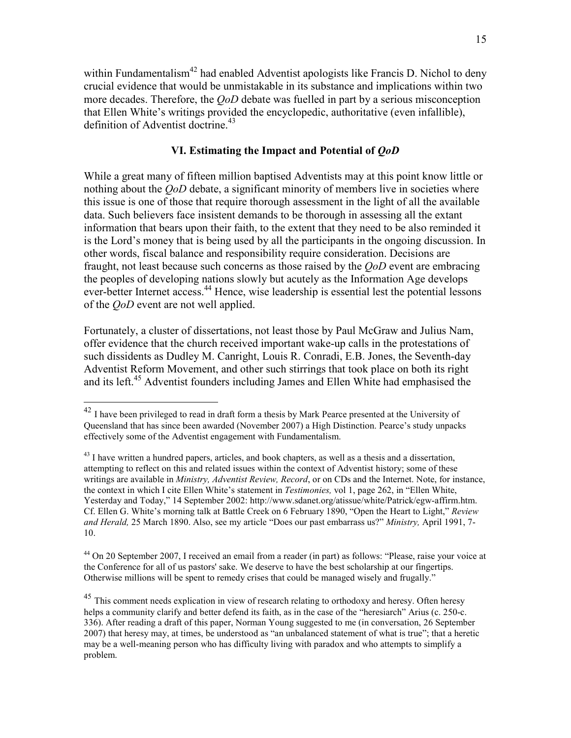within Fundamentalism<sup>42</sup> had enabled Adventist apologists like Francis D. Nichol to deny crucial evidence that would be unmistakable in its substance and implications within two more decades. Therefore, the *OoD* debate was fuelled in part by a serious misconception that Ellen White's writings provided the encyclopedic, authoritative (even infallible), definition of Adventist doctrine.<sup>43</sup>

# VI. Estimating the Impact and Potential of QoD

While a great many of fifteen million baptised Adventists may at this point know little or nothing about the *OoD* debate, a significant minority of members live in societies where this issue is one of those that require thorough assessment in the light of all the available data. Such believers face insistent demands to be thorough in assessing all the extant information that bears upon their faith, to the extent that they need to be also reminded it is the Lord's money that is being used by all the participants in the ongoing discussion. In other words, fiscal balance and responsibility require consideration. Decisions are fraught, not least because such concerns as those raised by the QoD event are embracing the peoples of developing nations slowly but acutely as the Information Age develops ever-better Internet access.<sup>44</sup> Hence, wise leadership is essential lest the potential lessons of the QoD event are not well applied.

Fortunately, a cluster of dissertations, not least those by Paul McGraw and Julius Nam, offer evidence that the church received important wake-up calls in the protestations of such dissidents as Dudley M. Canright, Louis R. Conradi, E.B. Jones, the Seventh-day Adventist Reform Movement, and other such stirrings that took place on both its right and its left.<sup>45</sup> Adventist founders including James and Ellen White had emphasised the

 $\overline{a}$ 

<sup>44</sup> On 20 September 2007, I received an email from a reader (in part) as follows: "Please, raise your voice at the Conference for all of us pastors' sake. We deserve to have the best scholarship at our fingertips. Otherwise millions will be spent to remedy crises that could be managed wisely and frugally."

<sup>45</sup> This comment needs explication in view of research relating to orthodoxy and heresy. Often heresy helps a community clarify and better defend its faith, as in the case of the "heresiarch" Arius (c. 250-c. 336). After reading a draft of this paper, Norman Young suggested to me (in conversation, 26 September 2007) that heresy may, at times, be understood as "an unbalanced statement of what is true"; that a heretic may be a well-meaning person who has difficulty living with paradox and who attempts to simplify a problem.

 $42$  I have been privileged to read in draft form a thesis by Mark Pearce presented at the University of Queensland that has since been awarded (November 2007) a High Distinction. Pearce's study unpacks effectively some of the Adventist engagement with Fundamentalism.

 $^{43}$  I have written a hundred papers, articles, and book chapters, as well as a thesis and a dissertation, attempting to reflect on this and related issues within the context of Adventist history; some of these writings are available in *Ministry, Adventist Review, Record*, or on CDs and the Internet. Note, for instance, the context in which I cite Ellen White's statement in *Testimonies*, vol 1, page 262, in "Ellen White, Yesterday and Today," 14 September 2002: http://www.sdanet.org/atissue/white/Patrick/egw-affirm.htm. Cf. Ellen G. White's morning talk at Battle Creek on 6 February 1890, "Open the Heart to Light," Review and Herald, 25 March 1890. Also, see my article "Does our past embarrass us?" Ministry, April 1991, 7-10.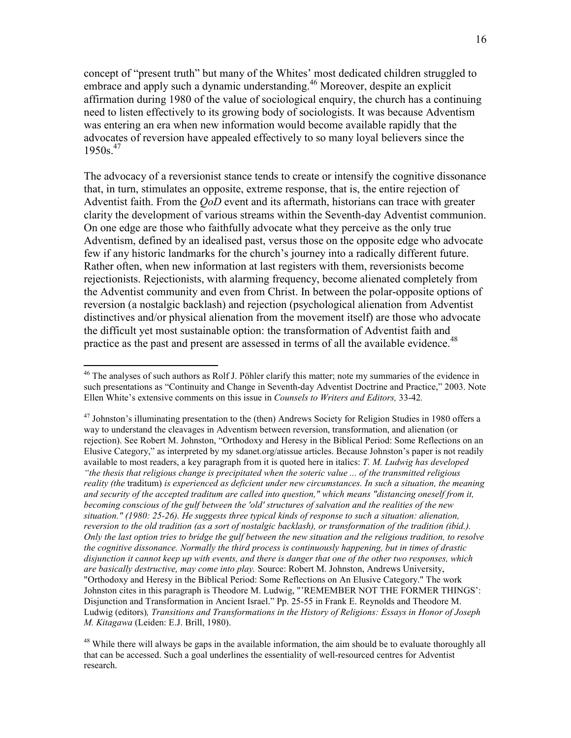concept of "present truth" but many of the Whites' most dedicated children struggled to embrace and apply such a dynamic understanding.<sup>46</sup> Moreover, despite an explicit affirmation during 1980 of the value of sociological enquiry, the church has a continuing need to listen effectively to its growing body of sociologists. It was because Adventism was entering an era when new information would become available rapidly that the advocates of reversion have appealed effectively to so many loyal believers since the  $1950s.<sup>47</sup>$ 

The advocacy of a reversionist stance tends to create or intensify the cognitive dissonance that, in turn, stimulates an opposite, extreme response, that is, the entire rejection of Adventist faith. From the *OoD* event and its aftermath, historians can trace with greater clarity the development of various streams within the Seventh-day Adventist communion. On one edge are those who faithfully advocate what they perceive as the only true Adventism, defined by an idealised past, versus those on the opposite edge who advocate few if any historic landmarks for the church's journey into a radically different future. Rather often, when new information at last registers with them, reversionists become rejectionists. Rejectionists, with alarming frequency, become alienated completely from the Adventist community and even from Christ. In between the polar-opposite options of reversion (a nostalgic backlash) and rejection (psychological alienation from Adventist distinctives and/or physical alienation from the movement itself) are those who advocate the difficult yet most sustainable option: the transformation of Adventist faith and practice as the past and present are assessed in terms of all the available evidence.<sup>48</sup>

<sup>&</sup>lt;sup>46</sup> The analyses of such authors as Rolf J. Pöhler clarify this matter; note my summaries of the evidence in such presentations as "Continuity and Change in Seventh-day Adventist Doctrine and Practice," 2003. Note Ellen White's extensive comments on this issue in Counsels to Writers and Editors, 33-42.

 $^{47}$  Johnston's illuminating presentation to the (then) Andrews Society for Religion Studies in 1980 offers a way to understand the cleavages in Adventism between reversion, transformation, and alienation (or rejection). See Robert M. Johnston, "Orthodoxy and Heresy in the Biblical Period: Some Reflections on an Elusive Category," as interpreted by my sdanet.org/atissue articles. Because Johnston's paper is not readily available to most readers, a key paragraph from it is quoted here in italics: T. M. Ludwig has developed "the thesis that religious change is precipitated when the soteric value ... of the transmitted religious reality (the traditum) is experienced as deficient under new circumstances. In such a situation, the meaning and security of the accepted traditum are called into question," which means "distancing oneself from it, becoming conscious of the gulf between the 'old' structures of salvation and the realities of the new situation." (1980: 25-26). He suggests three typical kinds of response to such a situation: alienation, reversion to the old tradition (as a sort of nostalgic backlash), or transformation of the tradition (ibid.). Only the last option tries to bridge the gulf between the new situation and the religious tradition, to resolve the cognitive dissonance. Normally the third process is continuously happening, but in times of drastic disjunction it cannot keep up with events, and there is danger that one of the other two responses, which are basically destructive, may come into play. Source: Robert M. Johnston, Andrews University, "Orthodoxy and Heresy in the Biblical Period: Some Reflections on An Elusive Category." The work Johnston cites in this paragraph is Theodore M. Ludwig, "'REMEMBER NOT THE FORMER THINGS': Disjunction and Transformation in Ancient Israel." Pp. 25-55 in Frank E. Reynolds and Theodore M. Ludwig (editors), Transitions and Transformations in the History of Religions: Essays in Honor of Joseph M. Kitagawa (Leiden: E.J. Brill, 1980).

<sup>&</sup>lt;sup>48</sup> While there will always be gaps in the available information, the aim should be to evaluate thoroughly all that can be accessed. Such a goal underlines the essentiality of well-resourced centres for Adventist research.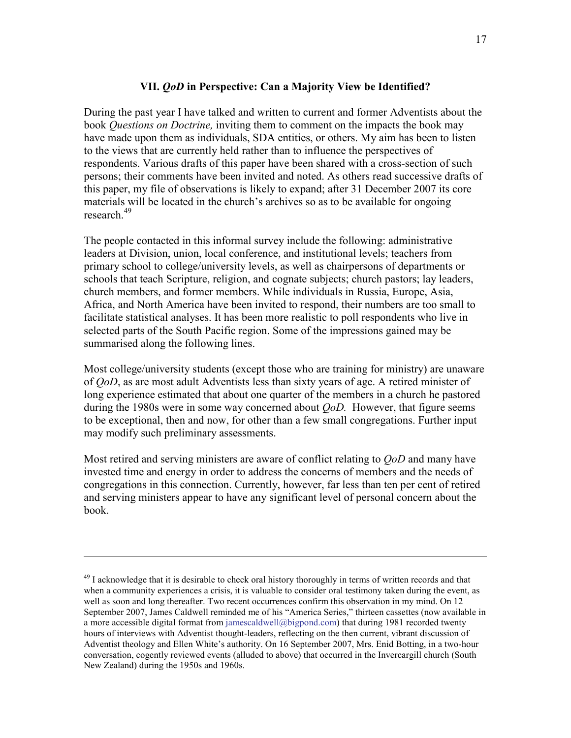## VII. QoD in Perspective: Can a Majority View be Identified?

During the past year I have talked and written to current and former Adventists about the book Questions on Doctrine, inviting them to comment on the impacts the book may have made upon them as individuals, SDA entities, or others. My aim has been to listen to the views that are currently held rather than to influence the perspectives of respondents. Various drafts of this paper have been shared with a cross-section of such persons; their comments have been invited and noted. As others read successive drafts of this paper, my file of observations is likely to expand; after 31 December 2007 its core materials will be located in the church's archives so as to be available for ongoing research.<sup>49</sup>

The people contacted in this informal survey include the following: administrative leaders at Division, union, local conference, and institutional levels; teachers from primary school to college/university levels, as well as chairpersons of departments or schools that teach Scripture, religion, and cognate subjects; church pastors; lay leaders, church members, and former members. While individuals in Russia, Europe, Asia, Africa, and North America have been invited to respond, their numbers are too small to facilitate statistical analyses. It has been more realistic to poll respondents who live in selected parts of the South Pacific region. Some of the impressions gained may be summarised along the following lines.

Most college/university students (except those who are training for ministry) are unaware of QoD, as are most adult Adventists less than sixty years of age. A retired minister of long experience estimated that about one quarter of the members in a church he pastored during the 1980s were in some way concerned about  $O_0D$ . However, that figure seems to be exceptional, then and now, for other than a few small congregations. Further input may modify such preliminary assessments.

Most retired and serving ministers are aware of conflict relating to *OoD* and many have invested time and energy in order to address the concerns of members and the needs of congregations in this connection. Currently, however, far less than ten per cent of retired and serving ministers appear to have any significant level of personal concern about the book.

<u>.</u>

<sup>&</sup>lt;sup>49</sup> I acknowledge that it is desirable to check oral history thoroughly in terms of written records and that when a community experiences a crisis, it is valuable to consider oral testimony taken during the event, as well as soon and long thereafter. Two recent occurrences confirm this observation in my mind. On 12 September 2007, James Caldwell reminded me of his "America Series," thirteen cassettes (now available in a more accessible digital format from jamescaldwell@bigpond.com) that during 1981 recorded twenty hours of interviews with Adventist thought-leaders, reflecting on the then current, vibrant discussion of Adventist theology and Ellen White's authority. On 16 September 2007, Mrs. Enid Botting, in a two-hour conversation, cogently reviewed events (alluded to above) that occurred in the Invercargill church (South New Zealand) during the 1950s and 1960s.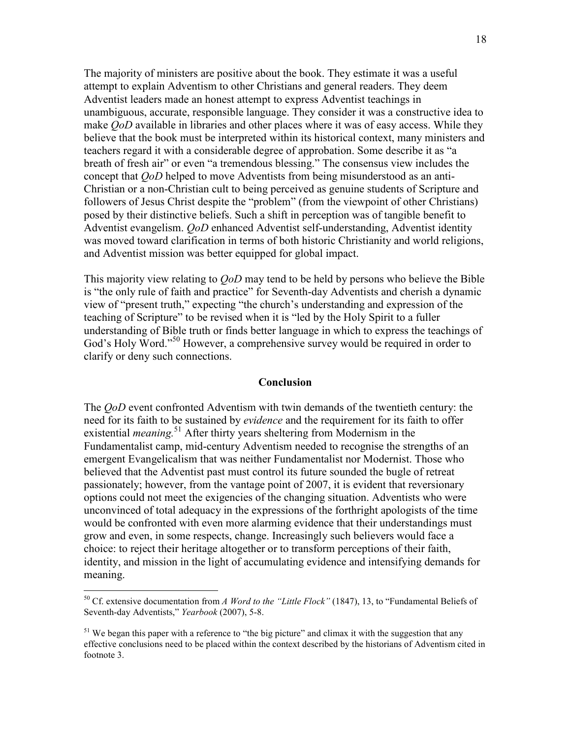The majority of ministers are positive about the book. They estimate it was a useful attempt to explain Adventism to other Christians and general readers. They deem Adventist leaders made an honest attempt to express Adventist teachings in unambiguous, accurate, responsible language. They consider it was a constructive idea to make  $O<sub>o</sub>D$  available in libraries and other places where it was of easy access. While they believe that the book must be interpreted within its historical context, many ministers and teachers regard it with a considerable degree of approbation. Some describe it as "a breath of fresh air" or even "a tremendous blessing." The consensus view includes the concept that QoD helped to move Adventists from being misunderstood as an anti-Christian or a non-Christian cult to being perceived as genuine students of Scripture and followers of Jesus Christ despite the "problem" (from the viewpoint of other Christians) posed by their distinctive beliefs. Such a shift in perception was of tangible benefit to Adventist evangelism. QoD enhanced Adventist self-understanding, Adventist identity was moved toward clarification in terms of both historic Christianity and world religions, and Adventist mission was better equipped for global impact.

This majority view relating to *OoD* may tend to be held by persons who believe the Bible is "the only rule of faith and practice" for Seventh-day Adventists and cherish a dynamic view of "present truth," expecting "the church's understanding and expression of the teaching of Scripture" to be revised when it is "led by the Holy Spirit to a fuller understanding of Bible truth or finds better language in which to express the teachings of God's Holy Word."<sup>50</sup> However, a comprehensive survey would be required in order to clarify or deny such connections.

### Conclusion

The *OoD* event confronted Adventism with twin demands of the twentieth century: the need for its faith to be sustained by evidence and the requirement for its faith to offer existential *meaning*.<sup>51</sup> After thirty years sheltering from Modernism in the Fundamentalist camp, mid-century Adventism needed to recognise the strengths of an emergent Evangelicalism that was neither Fundamentalist nor Modernist. Those who believed that the Adventist past must control its future sounded the bugle of retreat passionately; however, from the vantage point of 2007, it is evident that reversionary options could not meet the exigencies of the changing situation. Adventists who were unconvinced of total adequacy in the expressions of the forthright apologists of the time would be confronted with even more alarming evidence that their understandings must grow and even, in some respects, change. Increasingly such believers would face a choice: to reject their heritage altogether or to transform perceptions of their faith, identity, and mission in the light of accumulating evidence and intensifying demands for meaning.

<sup>&</sup>lt;sup>50</sup> Cf. extensive documentation from A Word to the "Little Flock" (1847), 13, to "Fundamental Beliefs of Seventh-day Adventists," Yearbook (2007), 5-8.

<sup>&</sup>lt;sup>51</sup> We began this paper with a reference to "the big picture" and climax it with the suggestion that any effective conclusions need to be placed within the context described by the historians of Adventism cited in footnote 3.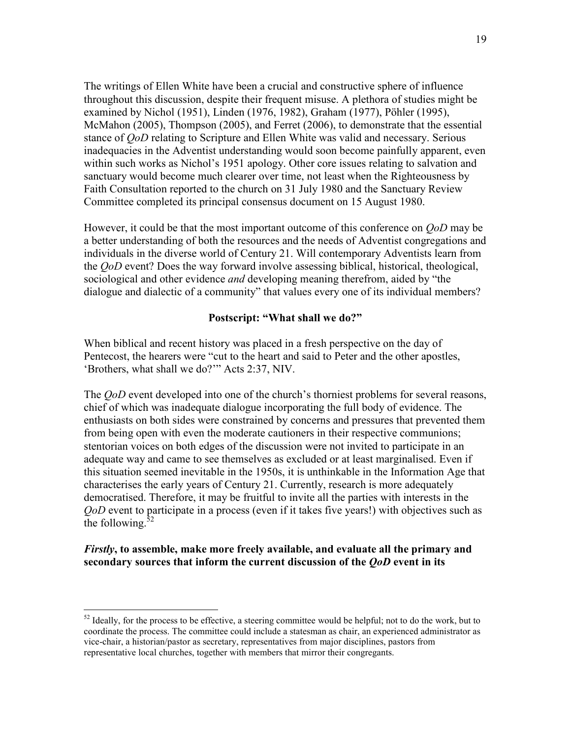The writings of Ellen White have been a crucial and constructive sphere of influence throughout this discussion, despite their frequent misuse. A plethora of studies might be examined by Nichol (1951), Linden (1976, 1982), Graham (1977), Pöhler (1995), McMahon (2005), Thompson (2005), and Ferret (2006), to demonstrate that the essential stance of *QoD* relating to Scripture and Ellen White was valid and necessary. Serious inadequacies in the Adventist understanding would soon become painfully apparent, even within such works as Nichol's 1951 apology. Other core issues relating to salvation and sanctuary would become much clearer over time, not least when the Righteousness by Faith Consultation reported to the church on 31 July 1980 and the Sanctuary Review Committee completed its principal consensus document on 15 August 1980.

However, it could be that the most important outcome of this conference on *OoD* may be a better understanding of both the resources and the needs of Adventist congregations and individuals in the diverse world of Century 21. Will contemporary Adventists learn from the QoD event? Does the way forward involve assessing biblical, historical, theological, sociological and other evidence *and* developing meaning therefrom, aided by "the dialogue and dialectic of a community" that values every one of its individual members?

## Postscript: "What shall we do?"

When biblical and recent history was placed in a fresh perspective on the day of Pentecost, the hearers were "cut to the heart and said to Peter and the other apostles, 'Brothers, what shall we do?'" Acts 2:37, NIV.

The *OoD* event developed into one of the church's thorniest problems for several reasons, chief of which was inadequate dialogue incorporating the full body of evidence. The enthusiasts on both sides were constrained by concerns and pressures that prevented them from being open with even the moderate cautioners in their respective communions; stentorian voices on both edges of the discussion were not invited to participate in an adequate way and came to see themselves as excluded or at least marginalised. Even if this situation seemed inevitable in the 1950s, it is unthinkable in the Information Age that characterises the early years of Century 21. Currently, research is more adequately democratised. Therefore, it may be fruitful to invite all the parties with interests in the QoD event to participate in a process (even if it takes five years!) with objectives such as the following. $52$ 

## Firstly, to assemble, make more freely available, and evaluate all the primary and secondary sources that inform the current discussion of the *QoD* event in its

 $52$  Ideally, for the process to be effective, a steering committee would be helpful; not to do the work, but to coordinate the process. The committee could include a statesman as chair, an experienced administrator as vice-chair, a historian/pastor as secretary, representatives from major disciplines, pastors from representative local churches, together with members that mirror their congregants.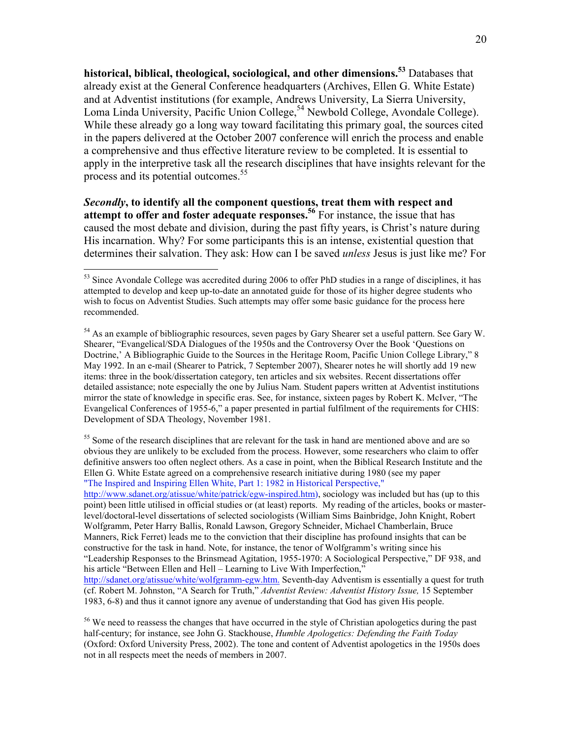historical, biblical, theological, sociological, and other dimensions.<sup>53</sup> Databases that already exist at the General Conference headquarters (Archives, Ellen G. White Estate) and at Adventist institutions (for example, Andrews University, La Sierra University, Loma Linda University, Pacific Union College,<sup>54</sup> Newbold College, Avondale College). While these already go a long way toward facilitating this primary goal, the sources cited in the papers delivered at the October 2007 conference will enrich the process and enable a comprehensive and thus effective literature review to be completed. It is essential to apply in the interpretive task all the research disciplines that have insights relevant for the process and its potential outcomes.<sup>55</sup>

Secondly, to identify all the component questions, treat them with respect and attempt to offer and foster adequate responses.<sup>56</sup> For instance, the issue that has caused the most debate and division, during the past fifty years, is Christ's nature during His incarnation. Why? For some participants this is an intense, existential question that determines their salvation. They ask: How can I be saved unless Jesus is just like me? For

 $\overline{a}$ 

<sup>55</sup> Some of the research disciplines that are relevant for the task in hand are mentioned above and are so obvious they are unlikely to be excluded from the process. However, some researchers who claim to offer definitive answers too often neglect others. As a case in point, when the Biblical Research Institute and the Ellen G. White Estate agreed on a comprehensive research initiative during 1980 (see my paper "The Inspired and Inspiring Ellen White, Part 1: 1982 in Historical Perspective,"

http://www.sdanet.org/atissue/white/patrick/egw-inspired.htm), sociology was included but has (up to this point) been little utilised in official studies or (at least) reports. My reading of the articles, books or masterlevel/doctoral-level dissertations of selected sociologists (William Sims Bainbridge, John Knight, Robert Wolfgramm, Peter Harry Ballis, Ronald Lawson, Gregory Schneider, Michael Chamberlain, Bruce Manners, Rick Ferret) leads me to the conviction that their discipline has profound insights that can be constructive for the task in hand. Note, for instance, the tenor of Wolfgramm's writing since his "Leadership Responses to the Brinsmead Agitation, 1955-1970: A Sociological Perspective," DF 938, and his article "Between Ellen and Hell – Learning to Live With Imperfection," http://sdanet.org/atissue/white/wolfgramm-egw.htm. Seventh-day Adventism is essentially a quest for truth (cf. Robert M. Johnston, "A Search for Truth," Adventist Review: Adventist History Issue, 15 September 1983, 6-8) and thus it cannot ignore any avenue of understanding that God has given His people.

<sup>&</sup>lt;sup>53</sup> Since Avondale College was accredited during 2006 to offer PhD studies in a range of disciplines, it has attempted to develop and keep up-to-date an annotated guide for those of its higher degree students who wish to focus on Adventist Studies. Such attempts may offer some basic guidance for the process here recommended.

 $54$  As an example of bibliographic resources, seven pages by Gary Shearer set a useful pattern. See Gary W. Shearer, "Evangelical/SDA Dialogues of the 1950s and the Controversy Over the Book 'Questions on Doctrine,' A Bibliographic Guide to the Sources in the Heritage Room, Pacific Union College Library," 8 May 1992. In an e-mail (Shearer to Patrick, 7 September 2007), Shearer notes he will shortly add 19 new items: three in the book/dissertation category, ten articles and six websites. Recent dissertations offer detailed assistance; note especially the one by Julius Nam. Student papers written at Adventist institutions mirror the state of knowledge in specific eras. See, for instance, sixteen pages by Robert K. McIver, "The Evangelical Conferences of 1955-6," a paper presented in partial fulfilment of the requirements for CHIS: Development of SDA Theology, November 1981.

<sup>&</sup>lt;sup>56</sup> We need to reassess the changes that have occurred in the style of Christian apologetics during the past half-century; for instance, see John G. Stackhouse, *Humble Apologetics: Defending the Faith Today* (Oxford: Oxford University Press, 2002). The tone and content of Adventist apologetics in the 1950s does not in all respects meet the needs of members in 2007.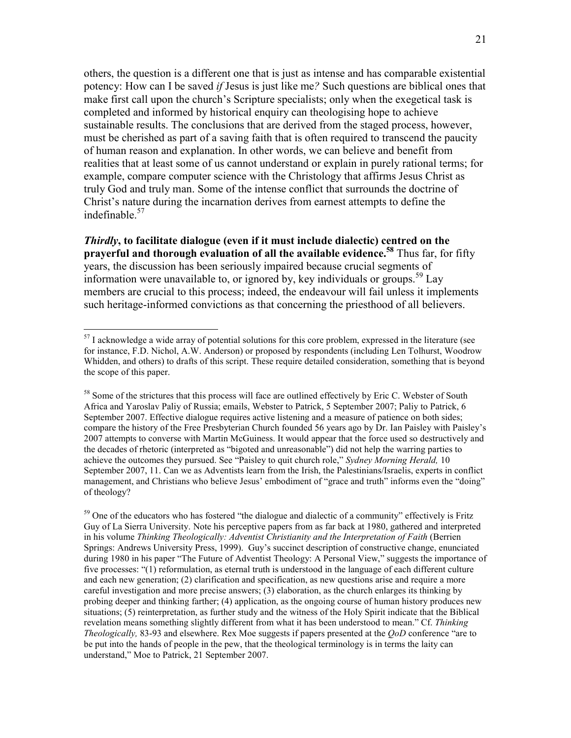others, the question is a different one that is just as intense and has comparable existential potency: How can I be saved if Jesus is just like me? Such questions are biblical ones that make first call upon the church's Scripture specialists; only when the exegetical task is completed and informed by historical enquiry can theologising hope to achieve sustainable results. The conclusions that are derived from the staged process, however, must be cherished as part of a saving faith that is often required to transcend the paucity of human reason and explanation. In other words, we can believe and benefit from realities that at least some of us cannot understand or explain in purely rational terms; for example, compare computer science with the Christology that affirms Jesus Christ as truly God and truly man. Some of the intense conflict that surrounds the doctrine of Christ's nature during the incarnation derives from earnest attempts to define the indefinable.<sup>57</sup>

Thirdly, to facilitate dialogue (even if it must include dialectic) centred on the prayerful and thorough evaluation of all the available evidence.<sup>58</sup> Thus far, for fifty years, the discussion has been seriously impaired because crucial segments of information were unavailable to, or ignored by, key individuals or groups.<sup>59</sup> Lay members are crucial to this process; indeed, the endeavour will fail unless it implements such heritage-informed convictions as that concerning the priesthood of all believers.

 $\overline{a}$ 

<sup>59</sup> One of the educators who has fostered "the dialogue and dialectic of a community" effectively is Fritz Guy of La Sierra University. Note his perceptive papers from as far back at 1980, gathered and interpreted in his volume Thinking Theologically: Adventist Christianity and the Interpretation of Faith (Berrien Springs: Andrews University Press, 1999). Guy's succinct description of constructive change, enunciated during 1980 in his paper "The Future of Adventist Theology: A Personal View," suggests the importance of five processes: "(1) reformulation, as eternal truth is understood in the language of each different culture and each new generation; (2) clarification and specification, as new questions arise and require a more careful investigation and more precise answers; (3) elaboration, as the church enlarges its thinking by probing deeper and thinking farther; (4) application, as the ongoing course of human history produces new situations; (5) reinterpretation, as further study and the witness of the Holy Spirit indicate that the Biblical revelation means something slightly different from what it has been understood to mean." Cf. Thinking Theologically, 83-93 and elsewhere. Rex Moe suggests if papers presented at the QoD conference "are to be put into the hands of people in the pew, that the theological terminology is in terms the laity can understand," Moe to Patrick, 21 September 2007.

 $57$  I acknowledge a wide array of potential solutions for this core problem, expressed in the literature (see for instance, F.D. Nichol, A.W. Anderson) or proposed by respondents (including Len Tolhurst, Woodrow Whidden, and others) to drafts of this script. These require detailed consideration, something that is beyond the scope of this paper.

<sup>&</sup>lt;sup>58</sup> Some of the strictures that this process will face are outlined effectively by Eric C. Webster of South Africa and Yaroslav Paliy of Russia; emails, Webster to Patrick, 5 September 2007; Paliy to Patrick, 6 September 2007. Effective dialogue requires active listening and a measure of patience on both sides; compare the history of the Free Presbyterian Church founded 56 years ago by Dr. Ian Paisley with Paisley's 2007 attempts to converse with Martin McGuiness. It would appear that the force used so destructively and the decades of rhetoric (interpreted as "bigoted and unreasonable") did not help the warring parties to achieve the outcomes they pursued. See "Paisley to quit church role," Sydney Morning Herald, 10 September 2007, 11. Can we as Adventists learn from the Irish, the Palestinians/Israelis, experts in conflict management, and Christians who believe Jesus' embodiment of "grace and truth" informs even the "doing" of theology?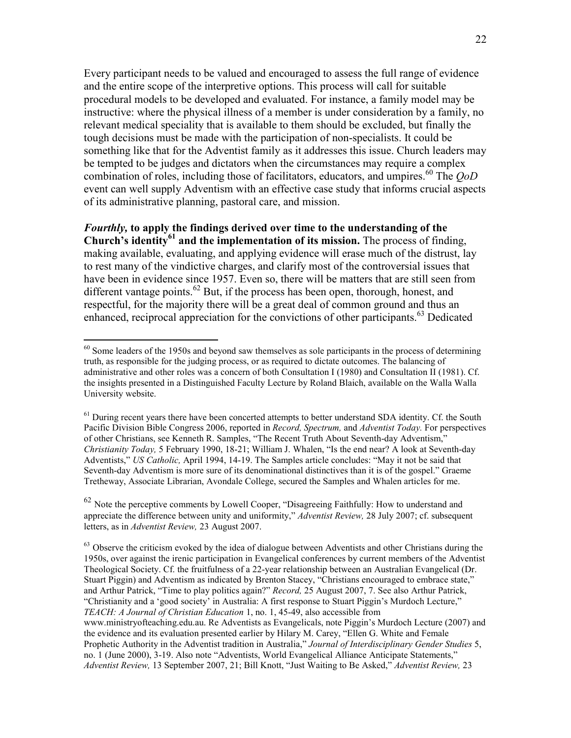Every participant needs to be valued and encouraged to assess the full range of evidence and the entire scope of the interpretive options. This process will call for suitable procedural models to be developed and evaluated. For instance, a family model may be instructive: where the physical illness of a member is under consideration by a family, no relevant medical speciality that is available to them should be excluded, but finally the tough decisions must be made with the participation of non-specialists. It could be something like that for the Adventist family as it addresses this issue. Church leaders may be tempted to be judges and dictators when the circumstances may require a complex combination of roles, including those of facilitators, educators, and umpires.<sup>60</sup> The  $O_0D$ event can well supply Adventism with an effective case study that informs crucial aspects of its administrative planning, pastoral care, and mission.

# Fourthly, to apply the findings derived over time to the understanding of the

Church's identity<sup>61</sup> and the implementation of its mission. The process of finding, making available, evaluating, and applying evidence will erase much of the distrust, lay to rest many of the vindictive charges, and clarify most of the controversial issues that have been in evidence since 1957. Even so, there will be matters that are still seen from different vantage points.<sup>62</sup> But, if the process has been open, thorough, honest, and respectful, for the majority there will be a great deal of common ground and thus an enhanced, reciprocal appreciation for the convictions of other participants.<sup>63</sup> Dedicated

 $\overline{a}$ 

<sup>62</sup> Note the perceptive comments by Lowell Cooper, "Disagreeing Faithfully: How to understand and appreciate the difference between unity and uniformity," Adventist Review, 28 July 2007; cf. subsequent letters, as in Adventist Review, 23 August 2007.

 $63$  Observe the criticism evoked by the idea of dialogue between Adventists and other Christians during the 1950s, over against the irenic participation in Evangelical conferences by current members of the Adventist Theological Society. Cf. the fruitfulness of a 22-year relationship between an Australian Evangelical (Dr. Stuart Piggin) and Adventism as indicated by Brenton Stacey, "Christians encouraged to embrace state," and Arthur Patrick, "Time to play politics again?" Record, 25 August 2007, 7. See also Arthur Patrick, "Christianity and a 'good society' in Australia: A first response to Stuart Piggin's Murdoch Lecture," TEACH: A Journal of Christian Education 1, no. 1, 45-49, also accessible from www.ministryofteaching.edu.au. Re Adventists as Evangelicals, note Piggin's Murdoch Lecture (2007) and the evidence and its evaluation presented earlier by Hilary M. Carey, "Ellen G. White and Female Prophetic Authority in the Adventist tradition in Australia," Journal of Interdisciplinary Gender Studies 5, no. 1 (June 2000), 3-19. Also note "Adventists, World Evangelical Alliance Anticipate Statements," Adventist Review, 13 September 2007, 21; Bill Knott, "Just Waiting to Be Asked," Adventist Review, 23

 $60$  Some leaders of the 1950s and beyond saw themselves as sole participants in the process of determining truth, as responsible for the judging process, or as required to dictate outcomes. The balancing of administrative and other roles was a concern of both Consultation I (1980) and Consultation II (1981). Cf. the insights presented in a Distinguished Faculty Lecture by Roland Blaich, available on the Walla Walla University website.

 $<sup>61</sup>$  During recent years there have been concerted attempts to better understand SDA identity. Cf. the South</sup> Pacific Division Bible Congress 2006, reported in Record, Spectrum, and Adventist Today. For perspectives of other Christians, see Kenneth R. Samples, "The Recent Truth About Seventh-day Adventism," Christianity Today, 5 February 1990, 18-21; William J. Whalen, "Is the end near? A look at Seventh-day Adventists," US Catholic, April 1994, 14-19. The Samples article concludes: "May it not be said that Seventh-day Adventism is more sure of its denominational distinctives than it is of the gospel." Graeme Tretheway, Associate Librarian, Avondale College, secured the Samples and Whalen articles for me.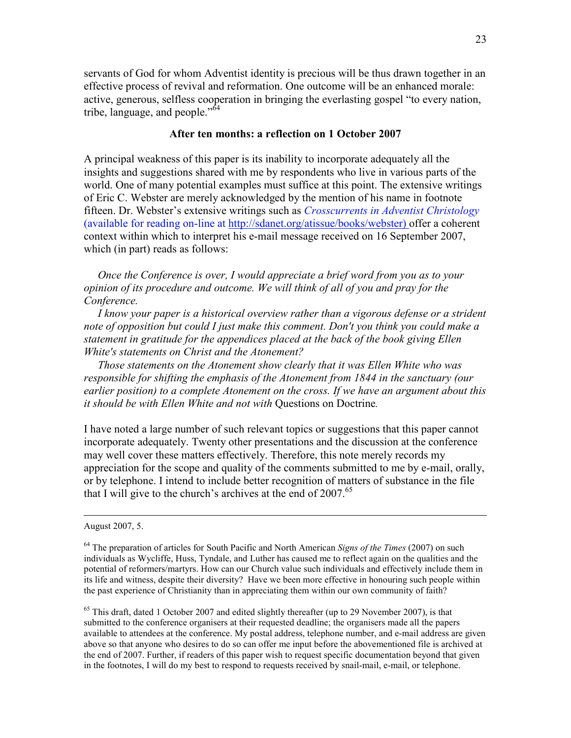servants of God for whom Adventist identity is precious will be thus drawn together in an effective process of revival and reformation. One outcome will be an enhanced morale: active, generous, selfless cooperation in bringing the everlasting gospel "to every nation, tribe, language, and people."<sup>64</sup>

# After ten months: a reflection on 1 October 2007

A principal weakness of this paper is its inability to incorporate adequately all the insights and suggestions shared with me by respondents who live in various parts of the world. One of many potential examples must suffice at this point. The extensive writings of Eric C. Webster are merely acknowledged by the mention of his name in footnote fifteen. Dr. Webster's extensive writings such as Crosscurrents in Adventist Christology (available for reading on-line at http://sdanet.org/atissue/books/webster) offer a coherent context within which to interpret his e-mail message received on 16 September 2007, which (in part) reads as follows:

 Once the Conference is over, I would appreciate a brief word from you as to your opinion of its procedure and outcome. We will think of all of you and pray for the Conference.

 I know your paper is a historical overview rather than a vigorous defense or a strident note of opposition but could I just make this comment. Don't you think you could make a statement in gratitude for the appendices placed at the back of the book giving Ellen White's statements on Christ and the Atonement?

 Those statements on the Atonement show clearly that it was Ellen White who was responsible for shifting the emphasis of the Atonement from 1844 in the sanctuary (our earlier position) to a complete Atonement on the cross. If we have an argument about this it should be with Ellen White and not with Questions on Doctrine.

I have noted a large number of such relevant topics or suggestions that this paper cannot incorporate adequately. Twenty other presentations and the discussion at the conference may well cover these matters effectively. Therefore, this note merely records my appreciation for the scope and quality of the comments submitted to me by e-mail, orally, or by telephone. I intend to include better recognition of matters of substance in the file that I will give to the church's archives at the end of  $2007$ .<sup>65</sup>

August 2007, 5.

 $^{64}$  The preparation of articles for South Pacific and North American Signs of the Times (2007) on such individuals as Wycliffe, Huss, Tyndale, and Luther has caused me to reflect again on the qualities and the potential of reformers/martyrs. How can our Church value such individuals and effectively include them in its life and witness, despite their diversity? Have we been more effective in honouring such people within the past experience of Christianity than in appreciating them within our own community of faith?

<sup>&</sup>lt;sup>65</sup> This draft, dated 1 October 2007 and edited slightly thereafter (up to 29 November 2007), is that submitted to the conference organisers at their requested deadline; the organisers made all the papers available to attendees at the conference. My postal address, telephone number, and e-mail address are given above so that anyone who desires to do so can offer me input before the abovementioned file is archived at the end of 2007. Further, if readers of this paper wish to request specific documentation beyond that given in the footnotes, I will do my best to respond to requests received by snail-mail, e-mail, or telephone.